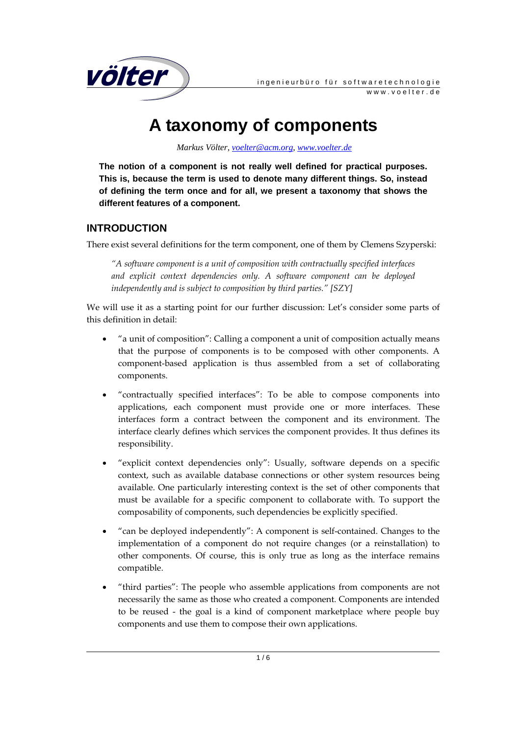

# **A taxonomy of components**

 *Markus Völter, voelter@acm.org, www.voelter.de*

**The notion of a component is not really well defined for practical purposes. This is, because the term is used to denote many different things. So, instead of defining the term once and for all, we present a taxonomy that shows the different features of a component.** 

## **INTRODUCTION**

There exist several definitions for the term component, one of them by Clemens Szyperski:

*"A software component is a unit of composition with contractually specified interfaces and explicit context dependencies only. A software component can be deployed independently and is subject to composition by third parties." [SZY]* 

We will use it as a starting point for our further discussion: Let's consider some parts of this definition in detail:

- "a unit of composition": Calling a component a unit of composition actually means that the purpose of components is to be composed with other components. A component-based application is thus assembled from a set of collaborating components.
- "contractually specified interfaces": To be able to compose components into applications, each component must provide one or more interfaces. These interfaces form a contract between the component and its environment. The interface clearly defines which services the component provides. It thus defines its responsibility.
- "explicit context dependencies only": Usually, software depends on a specific context, such as available database connections or other system resources being available. One particularly interesting context is the set of other components that must be available for a specific component to collaborate with. To support the composability of components, such dependencies be explicitly specified.
- "can be deployed independently": A component is self-contained. Changes to the implementation of a component do not require changes (or a reinstallation) to other components. Of course, this is only true as long as the interface remains compatible.
- "third parties": The people who assemble applications from components are not necessarily the same as those who created a component. Components are intended to be reused - the goal is a kind of component marketplace where people buy components and use them to compose their own applications.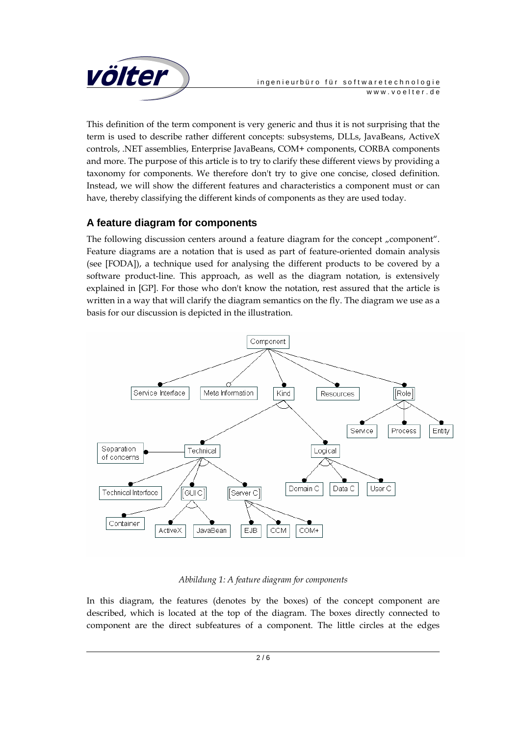

This definition of the term component is very generic and thus it is not surprising that the term is used to describe rather different concepts: subsystems, DLLs, JavaBeans, ActiveX controls, .NET assemblies, Enterprise JavaBeans, COM+ components, CORBA components and more. The purpose of this article is to try to clarify these different views by providing a taxonomy for components. We therefore don't try to give one concise, closed definition. Instead, we will show the different features and characteristics a component must or can have, thereby classifying the different kinds of components as they are used today.

## **A feature diagram for components**

The following discussion centers around a feature diagram for the concept "component". Feature diagrams are a notation that is used as part of feature-oriented domain analysis (see [FODA]), a technique used for analysing the different products to be covered by a software product-line. This approach, as well as the diagram notation, is extensively explained in [GP]. For those who don't know the notation, rest assured that the article is written in a way that will clarify the diagram semantics on the fly. The diagram we use as a basis for our discussion is depicted in the illustration.



#### *Abbildung 1: A feature diagram for components*

In this diagram, the features (denotes by the boxes) of the concept component are described, which is located at the top of the diagram. The boxes directly connected to component are the direct subfeatures of a component. The little circles at the edges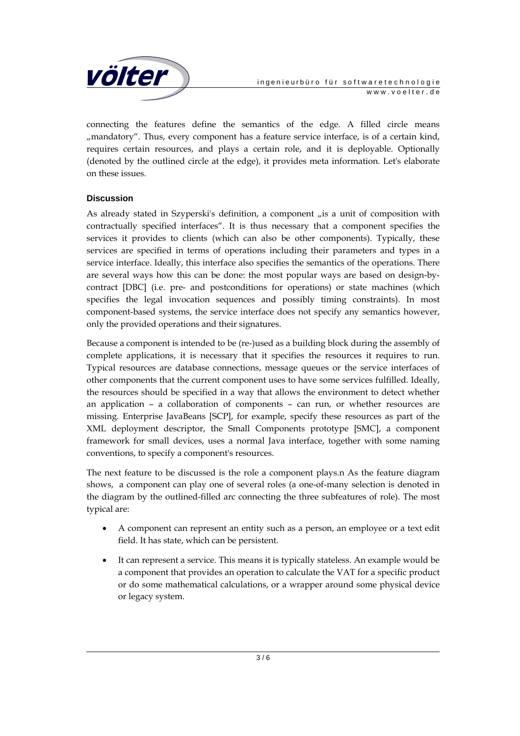

connecting the features define the semantics of the edge. A filled circle means "mandatory". Thus, every component has a feature service interface, is of a certain kind, requires certain resources, and plays a certain role, and it is deployable. Optionally (denoted by the outlined circle at the edge), it provides meta information. Let's elaborate on these issues.

#### **Discussion**

As already stated in Szyperski's definition, a component  $\mu$  is a unit of composition with contractually specified interfaces". It is thus necessary that a component specifies the services it provides to clients (which can also be other components). Typically, these services are specified in terms of operations including their parameters and types in a service interface. Ideally, this interface also specifies the semantics of the operations. There are several ways how this can be done: the most popular ways are based on design-bycontract [DBC] (i.e. pre- and postconditions for operations) or state machines (which specifies the legal invocation sequences and possibly timing constraints). In most component-based systems, the service interface does not specify any semantics however, only the provided operations and their signatures.

Because a component is intended to be (re-)used as a building block during the assembly of complete applications, it is necessary that it specifies the resources it requires to run. Typical resources are database connections, message queues or the service interfaces of other components that the current component uses to have some services fulfilled. Ideally, the resources should be specified in a way that allows the environment to detect whether an application – a collaboration of components – can run, or whether resources are missing. Enterprise JavaBeans [SCP], for example, specify these resources as part of the XML deployment descriptor, the Small Components prototype [SMC], a component framework for small devices, uses a normal Java interface, together with some naming conventions, to specify a component's resources.

The next feature to be discussed is the role a component plays.n As the feature diagram shows, a component can play one of several roles (a one-of-many selection is denoted in the diagram by the outlined-filled arc connecting the three subfeatures of role). The most typical are:

- A component can represent an entity such as a person, an employee or a text edit field. It has state, which can be persistent.
- It can represent a service. This means it is typically stateless. An example would be a component that provides an operation to calculate the VAT for a specific product or do some mathematical calculations, or a wrapper around some physical device or legacy system.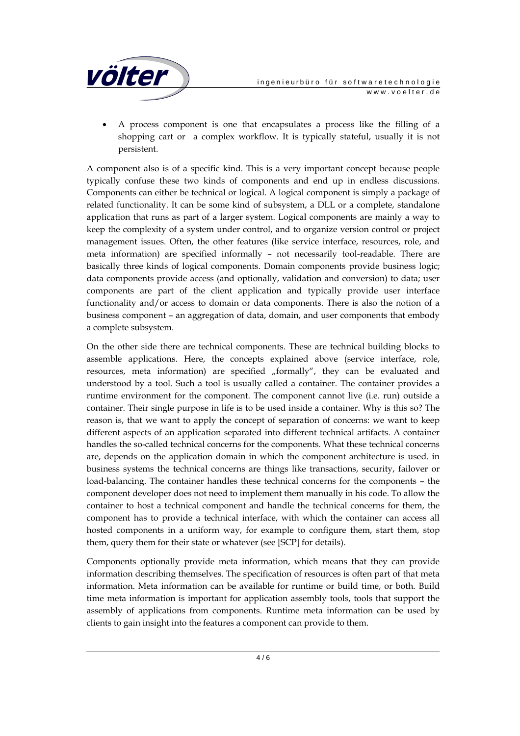

• A process component is one that encapsulates a process like the filling of a shopping cart or a complex workflow. It is typically stateful, usually it is not persistent.

A component also is of a specific kind. This is a very important concept because people typically confuse these two kinds of components and end up in endless discussions. Components can either be technical or logical. A logical component is simply a package of related functionality. It can be some kind of subsystem, a DLL or a complete, standalone application that runs as part of a larger system. Logical components are mainly a way to keep the complexity of a system under control, and to organize version control or project management issues. Often, the other features (like service interface, resources, role, and meta information) are specified informally – not necessarily tool-readable. There are basically three kinds of logical components. Domain components provide business logic; data components provide access (and optionally, validation and conversion) to data; user components are part of the client application and typically provide user interface functionality and/or access to domain or data components. There is also the notion of a business component – an aggregation of data, domain, and user components that embody a complete subsystem.

On the other side there are technical components. These are technical building blocks to assemble applications. Here, the concepts explained above (service interface, role, resources, meta information) are specified "formally", they can be evaluated and understood by a tool. Such a tool is usually called a container. The container provides a runtime environment for the component. The component cannot live (i.e. run) outside a container. Their single purpose in life is to be used inside a container. Why is this so? The reason is, that we want to apply the concept of separation of concerns: we want to keep different aspects of an application separated into different technical artifacts. A container handles the so-called technical concerns for the components. What these technical concerns are, depends on the application domain in which the component architecture is used. in business systems the technical concerns are things like transactions, security, failover or load-balancing. The container handles these technical concerns for the components – the component developer does not need to implement them manually in his code. To allow the container to host a technical component and handle the technical concerns for them, the component has to provide a technical interface, with which the container can access all hosted components in a uniform way, for example to configure them, start them, stop them, query them for their state or whatever (see [SCP] for details).

Components optionally provide meta information, which means that they can provide information describing themselves. The specification of resources is often part of that meta information. Meta information can be available for runtime or build time, or both. Build time meta information is important for application assembly tools, tools that support the assembly of applications from components. Runtime meta information can be used by clients to gain insight into the features a component can provide to them.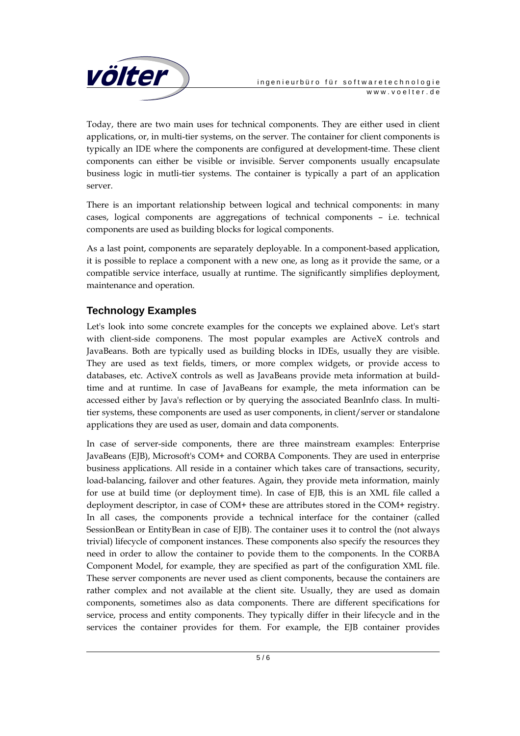

Today, there are two main uses for technical components. They are either used in client applications, or, in multi-tier systems, on the server. The container for client components is typically an IDE where the components are configured at development-time. These client components can either be visible or invisible. Server components usually encapsulate business logic in mutli-tier systems. The container is typically a part of an application server.

There is an important relationship between logical and technical components: in many cases, logical components are aggregations of technical components – i.e. technical components are used as building blocks for logical components.

As a last point, components are separately deployable. In a component-based application, it is possible to replace a component with a new one, as long as it provide the same, or a compatible service interface, usually at runtime. The significantly simplifies deployment, maintenance and operation.

## **Technology Examples**

Let's look into some concrete examples for the concepts we explained above. Let's start with client-side componens. The most popular examples are ActiveX controls and JavaBeans. Both are typically used as building blocks in IDEs, usually they are visible. They are used as text fields, timers, or more complex widgets, or provide access to databases, etc. ActiveX controls as well as JavaBeans provide meta information at buildtime and at runtime. In case of JavaBeans for example, the meta information can be accessed either by Java's reflection or by querying the associated BeanInfo class. In multitier systems, these components are used as user components, in client/server or standalone applications they are used as user, domain and data components.

In case of server-side components, there are three mainstream examples: Enterprise JavaBeans (EJB), Microsoft's COM+ and CORBA Components. They are used in enterprise business applications. All reside in a container which takes care of transactions, security, load-balancing, failover and other features. Again, they provide meta information, mainly for use at build time (or deployment time). In case of EJB, this is an XML file called a deployment descriptor, in case of COM+ these are attributes stored in the COM+ registry. In all cases, the components provide a technical interface for the container (called SessionBean or EntityBean in case of EJB). The container uses it to control the (not always trivial) lifecycle of component instances. These components also specify the resources they need in order to allow the container to povide them to the components. In the CORBA Component Model, for example, they are specified as part of the configuration XML file. These server components are never used as client components, because the containers are rather complex and not available at the client site. Usually, they are used as domain components, sometimes also as data components. There are different specifications for service, process and entity components. They typically differ in their lifecycle and in the services the container provides for them. For example, the EJB container provides